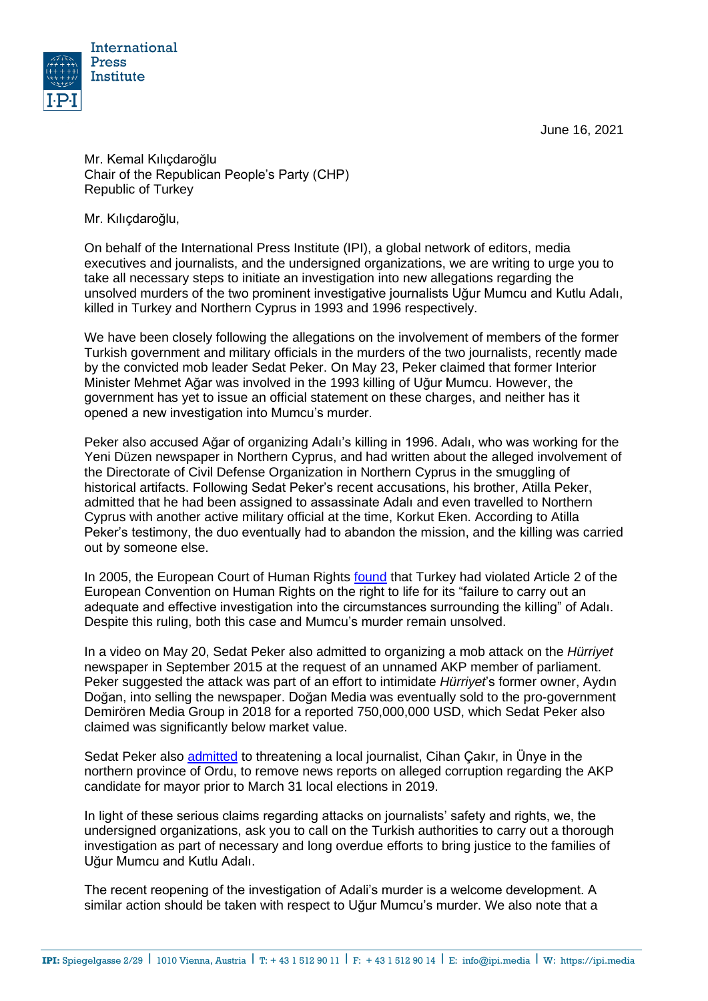June 16, 2021



Mr. Kemal Kılıçdaroğlu Chair of the Republican People's Party (CHP) Republic of Turkey

Mr. Kılıçdaroğlu,

On behalf of the International Press Institute (IPI), a global network of editors, media executives and journalists, and the undersigned organizations, we are writing to urge you to take all necessary steps to initiate an investigation into new allegations regarding the unsolved murders of the two prominent investigative journalists Uğur Mumcu and Kutlu Adalı, killed in Turkey and Northern Cyprus in 1993 and 1996 respectively.

We have been closely following the allegations on the involvement of members of the former Turkish government and military officials in the murders of the two journalists, recently made by the convicted mob leader Sedat Peker. On May 23, Peker claimed that former Interior Minister Mehmet Ağar was involved in the 1993 killing of Uğur Mumcu. However, the government has yet to issue an official statement on these charges, and neither has it opened a new investigation into Mumcu's murder.

Peker also accused Ağar of organizing Adalı's killing in 1996. Adalı, who was working for the Yeni Düzen newspaper in Northern Cyprus, and had written about the alleged involvement of the Directorate of Civil Defense Organization in Northern Cyprus in the smuggling of historical artifacts. Following Sedat Peker's recent accusations, his brother, Atilla Peker, admitted that he had been assigned to assassinate Adalı and even travelled to Northern Cyprus with another active military official at the time, Korkut Eken. According to Atilla Peker's testimony, the duo eventually had to abandon the mission, and the killing was carried out by someone else.

In 2005, the European Court of Human Rights [found](http://hudoc.echr.coe.int/eng?i=001-68670) that Turkey had violated Article 2 of the European Convention on Human Rights on the right to life for its "failure to carry out an adequate and effective investigation into the circumstances surrounding the killing" of Adalı. Despite this ruling, both this case and Mumcu's murder remain unsolved.

In a video on May 20, Sedat Peker also admitted to organizing a [mob attack](https://freeturkeyjournalists.ipi.media/ipi-condemns-mob-attack-on-turkish-daily-criminal-charges/) on the *Hürriyet* newspaper in September 2015 at the request of an unnamed AKP member of parliament. Peker suggested the attack was part of an effort to intimidate *Hürriyet*'s former owner, Aydın Doğan, into selling the newspaper. Doğan Media was eventually sold to the pro-government Demirören Media Group in 2018 for a reported 750,000,000 USD, which Sedat Peker also claimed was significantly below market value.

Sedat Peker also [admitted](https://www.gazeteduvar.com.tr/gazeteci-cakir-sedat-peker-gecmiste-yazdigim-haberi-kaldirtmak-istedi-haber-1524621) to threatening a local journalist, Cihan Çakır, in Ünye in the northern province of Ordu, to remove news reports on alleged corruption regarding the AKP candidate for mayor prior to March 31 local elections in 2019.

In light of these serious claims regarding attacks on journalists' safety and rights, we, the undersigned organizations, ask you to call on the Turkish authorities to carry out a thorough investigation as part of necessary and long overdue efforts to bring justice to the families of Uğur Mumcu and Kutlu Adalı.

The recent reopening of the investigation of Adali's murder is a welcome development. A similar action should be taken with respect to Uğur Mumcu's murder. We also note that a